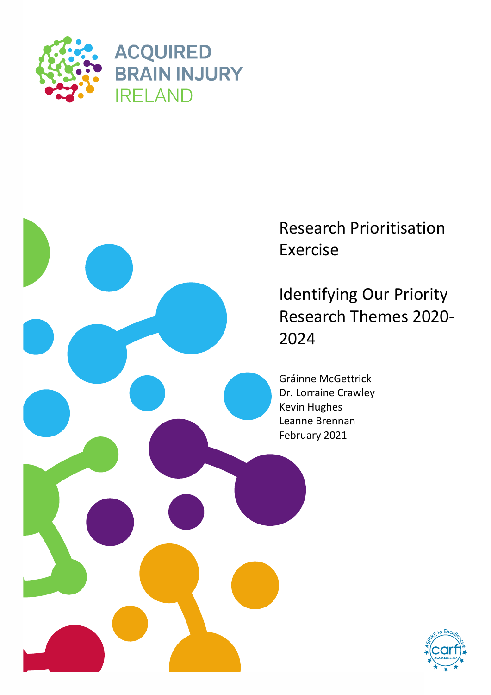



Research Prioritisation

Identifying Our Priority Research Themes 2020-

Gráinne McGettrick Dr. Lorraine Crawley Leanne Brennan

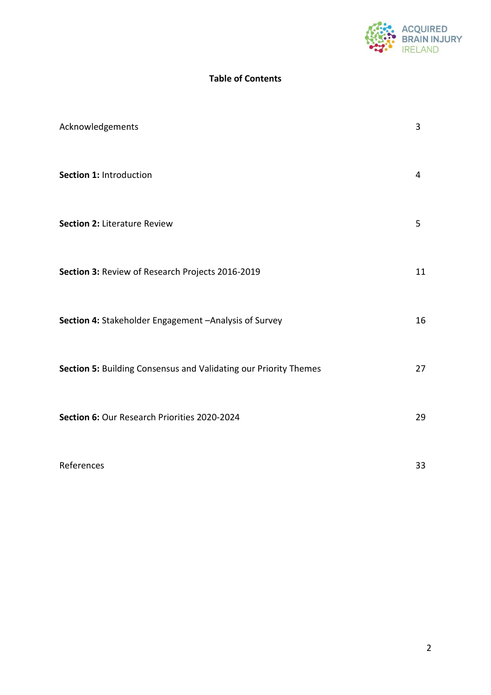

#### **Table of Contents**

| Acknowledgements                                                 | 3  |
|------------------------------------------------------------------|----|
| Section 1: Introduction                                          | 4  |
| <b>Section 2: Literature Review</b>                              | 5  |
| Section 3: Review of Research Projects 2016-2019                 | 11 |
| Section 4: Stakeholder Engagement - Analysis of Survey           | 16 |
| Section 5: Building Consensus and Validating our Priority Themes | 27 |
| Section 6: Our Research Priorities 2020-2024                     | 29 |
| References                                                       | 33 |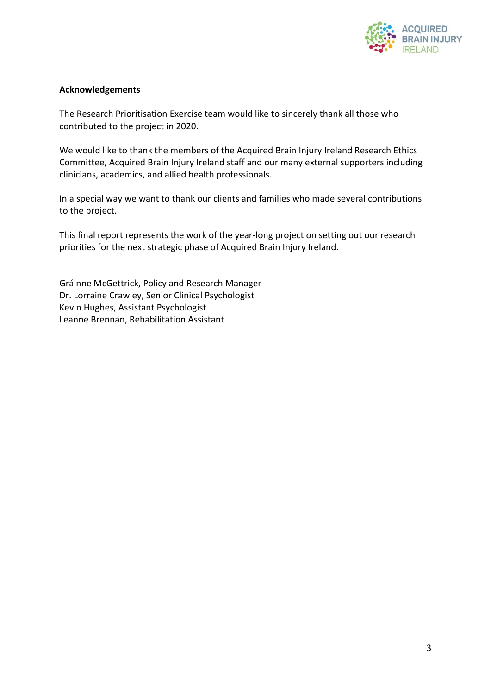

#### **Acknowledgements**

The Research Prioritisation Exercise team would like to sincerely thank all those who contributed to the project in 2020.

We would like to thank the members of the Acquired Brain Injury Ireland Research Ethics Committee, Acquired Brain Injury Ireland staff and our many external supporters including clinicians, academics, and allied health professionals.

In a special way we want to thank our clients and families who made several contributions to the project.

This final report represents the work of the year-long project on setting out our research priorities for the next strategic phase of Acquired Brain Injury Ireland.

Gráinne McGettrick, Policy and Research Manager Dr. Lorraine Crawley, Senior Clinical Psychologist Kevin Hughes, Assistant Psychologist Leanne Brennan, Rehabilitation Assistant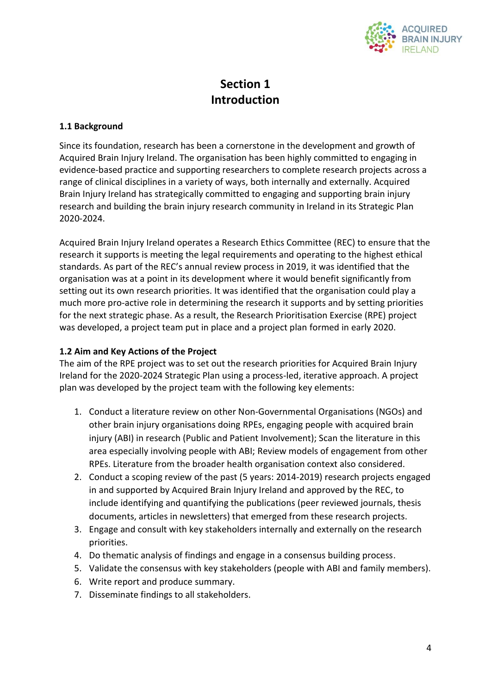

# **Section 1 Introduction**

#### **1.1 Background**

Since its foundation, research has been a cornerstone in the development and growth of Acquired Brain Injury Ireland. The organisation has been highly committed to engaging in evidence-based practice and supporting researchers to complete research projects across a range of clinical disciplines in a variety of ways, both internally and externally. Acquired Brain Injury Ireland has strategically committed to engaging and supporting brain injury research and building the brain injury research community in Ireland in its Strategic Plan 2020-2024.

Acquired Brain Injury Ireland operates a Research Ethics Committee (REC) to ensure that the research it supports is meeting the legal requirements and operating to the highest ethical standards. As part of the REC's annual review process in 2019, it was identified that the organisation was at a point in its development where it would benefit significantly from setting out its own research priorities. It was identified that the organisation could play a much more pro-active role in determining the research it supports and by setting priorities for the next strategic phase. As a result, the Research Prioritisation Exercise (RPE) project was developed, a project team put in place and a project plan formed in early 2020.

#### **1.2 Aim and Key Actions of the Project**

The aim of the RPE project was to set out the research priorities for Acquired Brain Injury Ireland for the 2020-2024 Strategic Plan using a process-led, iterative approach. A project plan was developed by the project team with the following key elements:

- 1. Conduct a literature review on other Non-Governmental Organisations (NGOs) and other brain injury organisations doing RPEs, engaging people with acquired brain injury (ABI) in research (Public and Patient Involvement); Scan the literature in this area especially involving people with ABI; Review models of engagement from other RPEs. Literature from the broader health organisation context also considered.
- 2. Conduct a scoping review of the past (5 years: 2014-2019) research projects engaged in and supported by Acquired Brain Injury Ireland and approved by the REC, to include identifying and quantifying the publications (peer reviewed journals, thesis documents, articles in newsletters) that emerged from these research projects.
- 3. Engage and consult with key stakeholders internally and externally on the research priorities.
- 4. Do thematic analysis of findings and engage in a consensus building process.
- 5. Validate the consensus with key stakeholders (people with ABI and family members).
- 6. Write report and produce summary.
- 7. Disseminate findings to all stakeholders.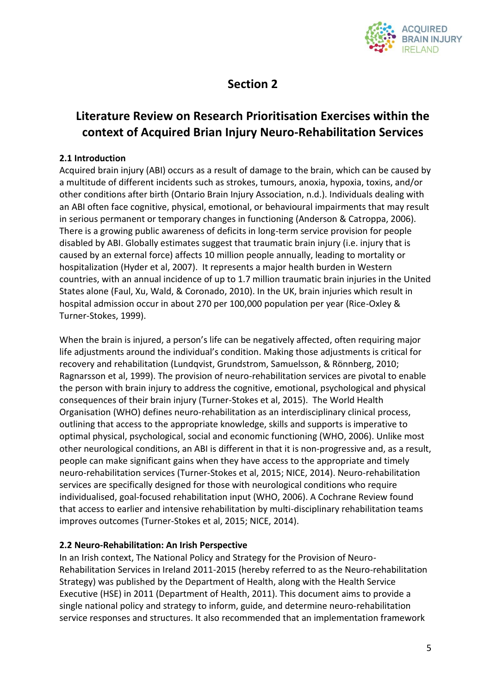

# **Section 2**

## **Literature Review on Research Prioritisation Exercises within the context of Acquired Brian Injury Neuro-Rehabilitation Services**

#### **2.1 Introduction**

Acquired brain injury (ABI) occurs as a result of damage to the brain, which can be caused by a multitude of different incidents such as strokes, tumours, anoxia, hypoxia, toxins, and/or other conditions after birth (Ontario Brain Injury Association, n.d.). Individuals dealing with an ABI often face cognitive, physical, emotional, or behavioural impairments that may result in serious permanent or temporary changes in functioning (Anderson & Catroppa, 2006). There is a growing public awareness of deficits in long-term service provision for people disabled by ABI. Globally estimates suggest that traumatic brain injury (i.e. injury that is caused by an external force) affects 10 million people annually, leading to mortality or hospitalization (Hyder et al, 2007). It represents a major health burden in Western countries, with an annual incidence of up to 1.7 million traumatic brain injuries in the United States alone (Faul, Xu, Wald, & Coronado, 2010). In the UK, brain injuries which result in hospital admission occur in about 270 per 100,000 population per year (Rice-Oxley & Turner-Stokes, 1999).

When the brain is injured, a person's life can be negatively affected, often requiring major life adjustments around the individual's condition. Making those adjustments is critical for recovery and rehabilitation (Lundqvist, Grundstrom, Samuelsson, & Rönnberg, 2010; Ragnarsson et al, 1999). The provision of neuro-rehabilitation services are pivotal to enable the person with brain injury to address the cognitive, emotional, psychological and physical consequences of their brain injury (Turner-Stokes et al, 2015). The World Health Organisation (WHO) defines neuro-rehabilitation as an interdisciplinary clinical process, outlining that access to the appropriate knowledge, skills and supports is imperative to optimal physical, psychological, social and economic functioning (WHO, 2006). Unlike most other neurological conditions, an ABI is different in that it is non-progressive and, as a result, people can make significant gains when they have access to the appropriate and timely neuro-rehabilitation services (Turner-Stokes et al, 2015; NICE, 2014). Neuro-rehabilitation services are specifically designed for those with neurological conditions who require individualised, goal-focused rehabilitation input (WHO, 2006). A Cochrane Review found that access to earlier and intensive rehabilitation by multi-disciplinary rehabilitation teams improves outcomes (Turner-Stokes et al, 2015; NICE, 2014).

#### **2.2 Neuro-Rehabilitation: An Irish Perspective**

In an Irish context, The National Policy and Strategy for the Provision of Neuro-Rehabilitation Services in Ireland 2011-2015 (hereby referred to as the Neuro-rehabilitation Strategy) was published by the Department of Health, along with the Health Service Executive (HSE) in 2011 (Department of Health, 2011). This document aims to provide a single national policy and strategy to inform, guide, and determine neuro-rehabilitation service responses and structures. It also recommended that an implementation framework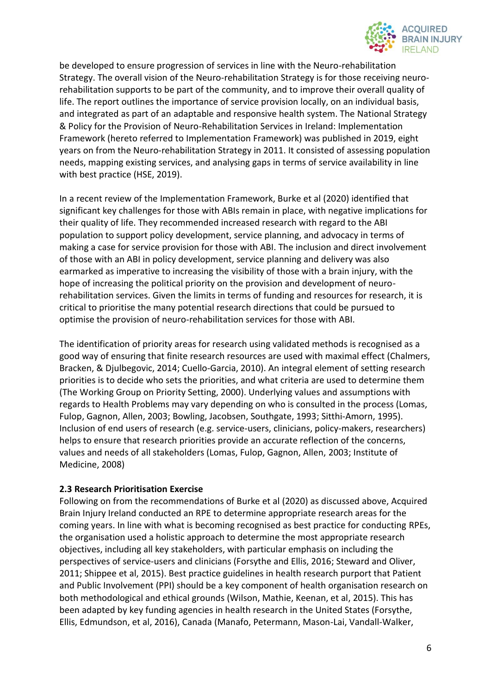

be developed to ensure progression of services in line with the Neuro-rehabilitation Strategy. The overall vision of the Neuro-rehabilitation Strategy is for those receiving neurorehabilitation supports to be part of the community, and to improve their overall quality of life. The report outlines the importance of service provision locally, on an individual basis, and integrated as part of an adaptable and responsive health system. The National Strategy & Policy for the Provision of Neuro-Rehabilitation Services in Ireland: Implementation Framework (hereto referred to Implementation Framework) was published in 2019, eight years on from the Neuro-rehabilitation Strategy in 2011. It consisted of assessing population needs, mapping existing services, and analysing gaps in terms of service availability in line with best practice (HSE, 2019).

In a recent review of the Implementation Framework, Burke et al (2020) identified that significant key challenges for those with ABIs remain in place, with negative implications for their quality of life. They recommended increased research with regard to the ABI population to support policy development, service planning, and advocacy in terms of making a case for service provision for those with ABI. The inclusion and direct involvement of those with an ABI in policy development, service planning and delivery was also earmarked as imperative to increasing the visibility of those with a brain injury, with the hope of increasing the political priority on the provision and development of neurorehabilitation services. Given the limits in terms of funding and resources for research, it is critical to prioritise the many potential research directions that could be pursued to optimise the provision of neuro-rehabilitation services for those with ABI.

The identification of priority areas for research using validated methods is recognised as a good way of ensuring that finite research resources are used with maximal effect (Chalmers, Bracken, & Djulbegovic, 2014; Cuello-Garcia, 2010). An integral element of setting research priorities is to decide who sets the priorities, and what criteria are used to determine them (The Working Group on Priority Setting, 2000). Underlying values and assumptions with regards to Health Problems may vary depending on who is consulted in the process (Lomas, Fulop, Gagnon, Allen, 2003; Bowling, Jacobsen, Southgate, 1993; Sitthi-Amorn, 1995). Inclusion of end users of research (e.g. service-users, clinicians, policy-makers, researchers) helps to ensure that research priorities provide an accurate reflection of the concerns, values and needs of all stakeholders (Lomas, Fulop, Gagnon, Allen, 2003; Institute of Medicine, 2008)

#### **2.3 Research Prioritisation Exercise**

Following on from the recommendations of Burke et al (2020) as discussed above, Acquired Brain Injury Ireland conducted an RPE to determine appropriate research areas for the coming years. In line with what is becoming recognised as best practice for conducting RPEs, the organisation used a holistic approach to determine the most appropriate research objectives, including all key stakeholders, with particular emphasis on including the perspectives of service-users and clinicians (Forsythe and Ellis, 2016; Steward and Oliver, 2011; Shippee et al, 2015). Best practice guidelines in health research purport that Patient and Public Involvement (PPI) should be a key component of health organisation research on both methodological and ethical grounds (Wilson, Mathie, Keenan, et al, 2015). This has been adapted by key funding agencies in health research in the United States (Forsythe, Ellis, Edmundson, et al, 2016), Canada (Manafo, Petermann, Mason-Lai, Vandall-Walker,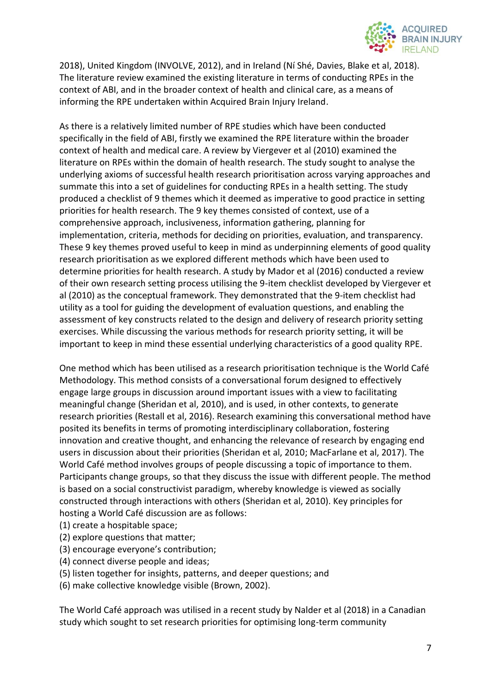

2018), United Kingdom (INVOLVE, 2012), and in Ireland (Ní Shé, Davies, Blake et al, 2018). The literature review examined the existing literature in terms of conducting RPEs in the context of ABI, and in the broader context of health and clinical care, as a means of informing the RPE undertaken within Acquired Brain Injury Ireland.

As there is a relatively limited number of RPE studies which have been conducted specifically in the field of ABI, firstly we examined the RPE literature within the broader context of health and medical care. A review by Viergever et al (2010) examined the literature on RPEs within the domain of health research. The study sought to analyse the underlying axioms of successful health research prioritisation across varying approaches and summate this into a set of guidelines for conducting RPEs in a health setting. The study produced a checklist of 9 themes which it deemed as imperative to good practice in setting priorities for health research. The 9 key themes consisted of context, use of a comprehensive approach, inclusiveness, information gathering, planning for implementation, criteria, methods for deciding on priorities, evaluation, and transparency. These 9 key themes proved useful to keep in mind as underpinning elements of good quality research prioritisation as we explored different methods which have been used to determine priorities for health research. A study by Mador et al (2016) conducted a review of their own research setting process utilising the 9-item checklist developed by Viergever et al (2010) as the conceptual framework. They demonstrated that the 9-item checklist had utility as a tool for guiding the development of evaluation questions, and enabling the assessment of key constructs related to the design and delivery of research priority setting exercises. While discussing the various methods for research priority setting, it will be important to keep in mind these essential underlying characteristics of a good quality RPE.

One method which has been utilised as a research prioritisation technique is the World Café Methodology. This method consists of a conversational forum designed to effectively engage large groups in discussion around important issues with a view to facilitating meaningful change (Sheridan et al, 2010), and is used, in other contexts, to generate research priorities (Restall et al, 2016). Research examining this conversational method have posited its benefits in terms of promoting interdisciplinary collaboration, fostering innovation and creative thought, and enhancing the relevance of research by engaging end users in discussion about their priorities (Sheridan et al, 2010; MacFarlane et al, 2017). The World Café method involves groups of people discussing a topic of importance to them. Participants change groups, so that they discuss the issue with different people. The method is based on a social constructivist paradigm, whereby knowledge is viewed as socially constructed through interactions with others (Sheridan et al, 2010). Key principles for hosting a World Café discussion are as follows:

- (1) create a hospitable space;
- (2) explore questions that matter;
- (3) encourage everyone's contribution;
- (4) connect diverse people and ideas;
- (5) listen together for insights, patterns, and deeper questions; and
- (6) make collective knowledge visible (Brown, 2002).

The World Café approach was utilised in a recent study by Nalder et al (2018) in a Canadian study which sought to set research priorities for optimising long-term community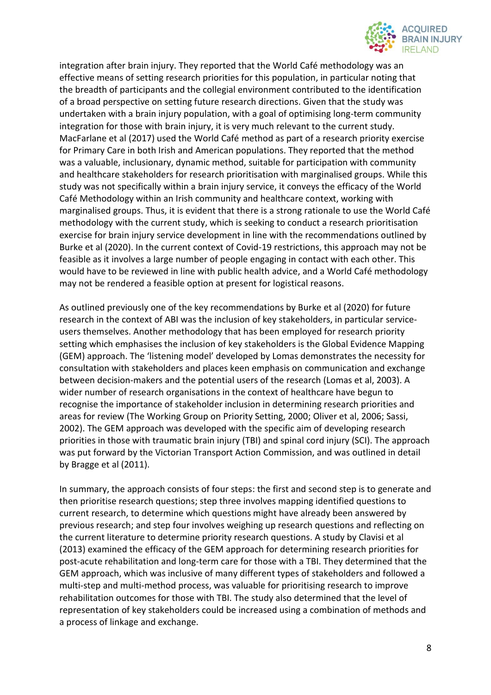

integration after brain injury. They reported that the World Café methodology was an effective means of setting research priorities for this population, in particular noting that the breadth of participants and the collegial environment contributed to the identification of a broad perspective on setting future research directions. Given that the study was undertaken with a brain injury population, with a goal of optimising long-term community integration for those with brain injury, it is very much relevant to the current study. MacFarlane et al (2017) used the World Café method as part of a research priority exercise for Primary Care in both Irish and American populations. They reported that the method was a valuable, inclusionary, dynamic method, suitable for participation with community and healthcare stakeholders for research prioritisation with marginalised groups. While this study was not specifically within a brain injury service, it conveys the efficacy of the World Café Methodology within an Irish community and healthcare context, working with marginalised groups. Thus, it is evident that there is a strong rationale to use the World Café methodology with the current study, which is seeking to conduct a research prioritisation exercise for brain injury service development in line with the recommendations outlined by Burke et al (2020). In the current context of Covid-19 restrictions, this approach may not be feasible as it involves a large number of people engaging in contact with each other. This would have to be reviewed in line with public health advice, and a World Café methodology may not be rendered a feasible option at present for logistical reasons.

As outlined previously one of the key recommendations by Burke et al (2020) for future research in the context of ABI was the inclusion of key stakeholders, in particular serviceusers themselves. Another methodology that has been employed for research priority setting which emphasises the inclusion of key stakeholders is the Global Evidence Mapping (GEM) approach. The 'listening model' developed by Lomas demonstrates the necessity for consultation with stakeholders and places keen emphasis on communication and exchange between decision-makers and the potential users of the research (Lomas et al, 2003). A wider number of research organisations in the context of healthcare have begun to recognise the importance of stakeholder inclusion in determining research priorities and areas for review (The Working Group on Priority Setting, 2000; Oliver et al, 2006; Sassi, 2002). The GEM approach was developed with the specific aim of developing research priorities in those with traumatic brain injury (TBI) and spinal cord injury (SCI). The approach was put forward by the Victorian Transport Action Commission, and was outlined in detail by Bragge et al (2011).

In summary, the approach consists of four steps: the first and second step is to generate and then prioritise research questions; step three involves mapping identified questions to current research, to determine which questions might have already been answered by previous research; and step four involves weighing up research questions and reflecting on the current literature to determine priority research questions. A study by Clavisi et al (2013) examined the efficacy of the GEM approach for determining research priorities for post-acute rehabilitation and long-term care for those with a TBI. They determined that the GEM approach, which was inclusive of many different types of stakeholders and followed a multi-step and multi-method process, was valuable for prioritising research to improve rehabilitation outcomes for those with TBI. The study also determined that the level of representation of key stakeholders could be increased using a combination of methods and a process of linkage and exchange.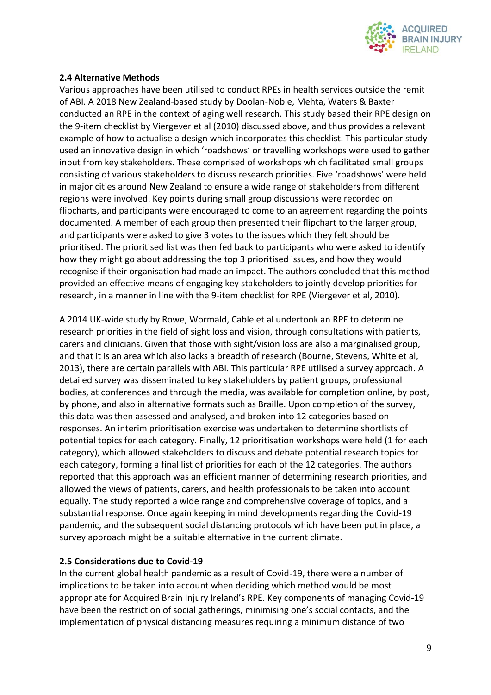

#### **2.4 Alternative Methods**

Various approaches have been utilised to conduct RPEs in health services outside the remit of ABI. A 2018 New Zealand-based study by Doolan-Noble, Mehta, Waters & Baxter conducted an RPE in the context of aging well research. This study based their RPE design on the 9-item checklist by Viergever et al (2010) discussed above, and thus provides a relevant example of how to actualise a design which incorporates this checklist. This particular study used an innovative design in which 'roadshows' or travelling workshops were used to gather input from key stakeholders. These comprised of workshops which facilitated small groups consisting of various stakeholders to discuss research priorities. Five 'roadshows' were held in major cities around New Zealand to ensure a wide range of stakeholders from different regions were involved. Key points during small group discussions were recorded on flipcharts, and participants were encouraged to come to an agreement regarding the points documented. A member of each group then presented their flipchart to the larger group, and participants were asked to give 3 votes to the issues which they felt should be prioritised. The prioritised list was then fed back to participants who were asked to identify how they might go about addressing the top 3 prioritised issues, and how they would recognise if their organisation had made an impact. The authors concluded that this method provided an effective means of engaging key stakeholders to jointly develop priorities for research, in a manner in line with the 9-item checklist for RPE (Viergever et al, 2010).

A 2014 UK-wide study by Rowe, Wormald, Cable et al undertook an RPE to determine research priorities in the field of sight loss and vision, through consultations with patients, carers and clinicians. Given that those with sight/vision loss are also a marginalised group, and that it is an area which also lacks a breadth of research (Bourne, Stevens, White et al, 2013), there are certain parallels with ABI. This particular RPE utilised a survey approach. A detailed survey was disseminated to key stakeholders by patient groups, professional bodies, at conferences and through the media, was available for completion online, by post, by phone, and also in alternative formats such as Braille. Upon completion of the survey, this data was then assessed and analysed, and broken into 12 categories based on responses. An interim prioritisation exercise was undertaken to determine shortlists of potential topics for each category. Finally, 12 prioritisation workshops were held (1 for each category), which allowed stakeholders to discuss and debate potential research topics for each category, forming a final list of priorities for each of the 12 categories. The authors reported that this approach was an efficient manner of determining research priorities, and allowed the views of patients, carers, and health professionals to be taken into account equally. The study reported a wide range and comprehensive coverage of topics, and a substantial response. Once again keeping in mind developments regarding the Covid-19 pandemic, and the subsequent social distancing protocols which have been put in place, a survey approach might be a suitable alternative in the current climate.

#### **2.5 Considerations due to Covid-19**

In the current global health pandemic as a result of Covid-19, there were a number of implications to be taken into account when deciding which method would be most appropriate for Acquired Brain Injury Ireland's RPE. Key components of managing Covid-19 have been the restriction of social gatherings, minimising one's social contacts, and the implementation of physical distancing measures requiring a minimum distance of two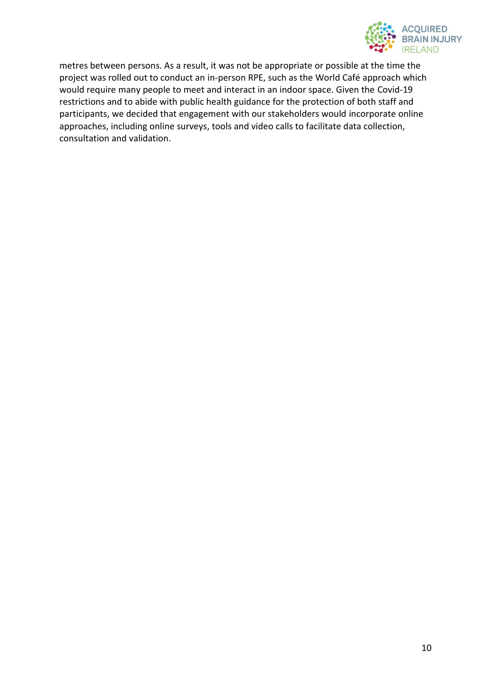

metres between persons. As a result, it was not be appropriate or possible at the time the project was rolled out to conduct an in-person RPE, such as the World Café approach which would require many people to meet and interact in an indoor space. Given the Covid-19 restrictions and to abide with public health guidance for the protection of both staff and participants, we decided that engagement with our stakeholders would incorporate online approaches, including online surveys, tools and video calls to facilitate data collection, consultation and validation.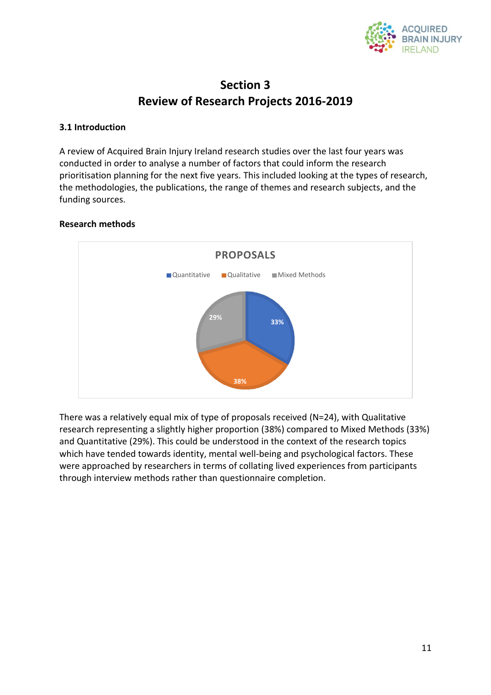

## **Section 3 Review of Research Projects 2016-2019**

#### **3.1 Introduction**

A review of Acquired Brain Injury Ireland research studies over the last four years was conducted in order to analyse a number of factors that could inform the research prioritisation planning for the next five years. This included looking at the types of research, the methodologies, the publications, the range of themes and research subjects, and the funding sources.

#### **Research methods**



There was a relatively equal mix of type of proposals received (N=24), with Qualitative research representing a slightly higher proportion (38%) compared to Mixed Methods (33%) and Quantitative (29%). This could be understood in the context of the research topics which have tended towards identity, mental well-being and psychological factors. These were approached by researchers in terms of collating lived experiences from participants through interview methods rather than questionnaire completion.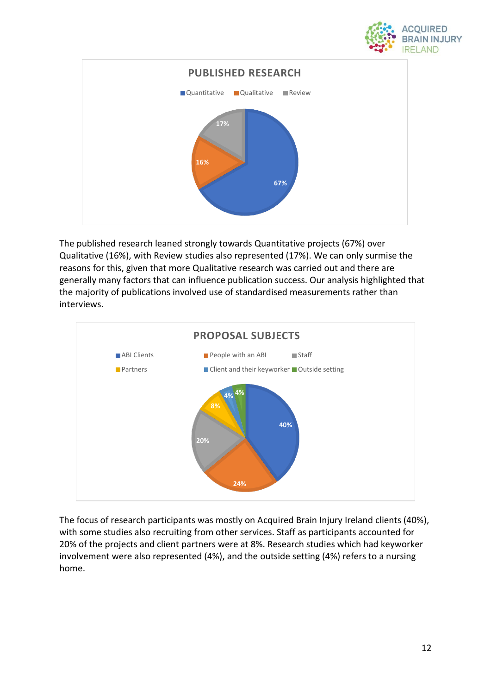



The published research leaned strongly towards Quantitative projects (67%) over Qualitative (16%), with Review studies also represented (17%). We can only surmise the reasons for this, given that more Qualitative research was carried out and there are generally many factors that can influence publication success. Our analysis highlighted that the majority of publications involved use of standardised measurements rather than interviews.



The focus of research participants was mostly on Acquired Brain Injury Ireland clients (40%), with some studies also recruiting from other services. Staff as participants accounted for 20% of the projects and client partners were at 8%. Research studies which had keyworker involvement were also represented (4%), and the outside setting (4%) refers to a nursing home.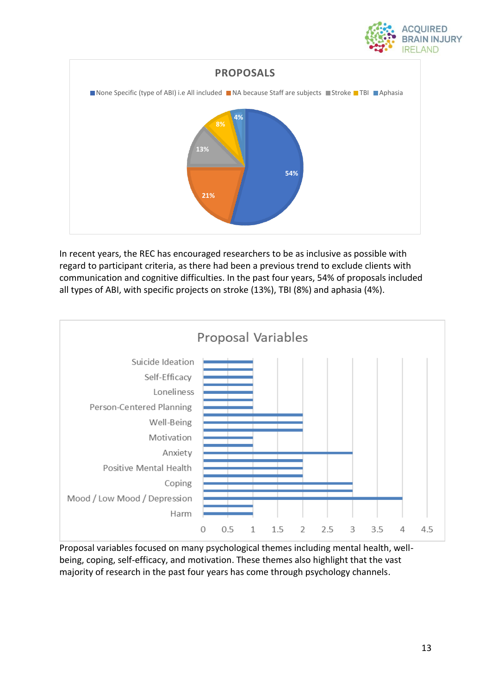



In recent years, the REC has encouraged researchers to be as inclusive as possible with regard to participant criteria, as there had been a previous trend to exclude clients with communication and cognitive difficulties. In the past four years, 54% of proposals included all types of ABI, with specific projects on stroke (13%), TBI (8%) and aphasia (4%).



Proposal variables focused on many psychological themes including mental health, wellbeing, coping, self-efficacy, and motivation. These themes also highlight that the vast majority of research in the past four years has come through psychology channels.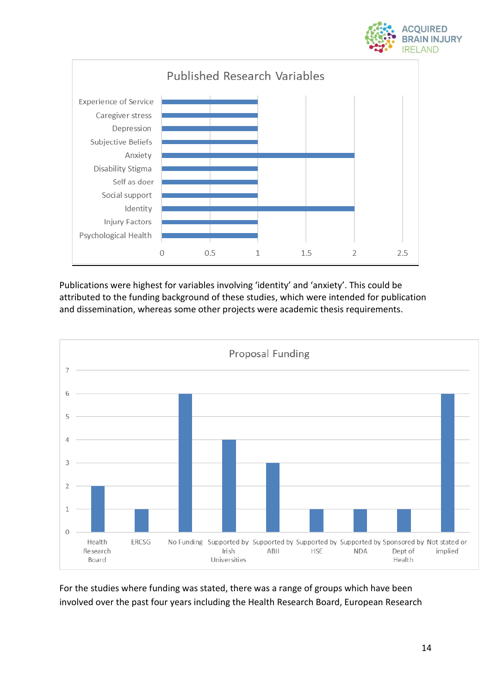



Publications were highest for variables involving 'identity' and 'anxiety'. This could be attributed to the funding background of these studies, which were intended for publication and dissemination, whereas some other projects were academic thesis requirements.



For the studies where funding was stated, there was a range of groups which have been involved over the past four years including the Health Research Board, European Research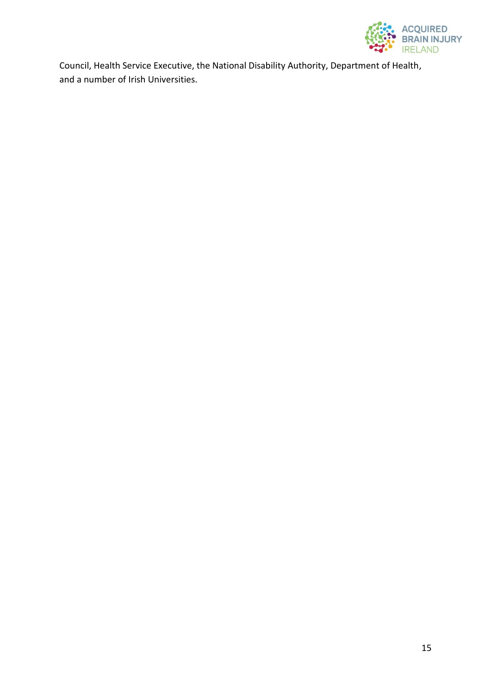

Council, Health Service Executive, the National Disability Authority, Department of Health, and a number of Irish Universities.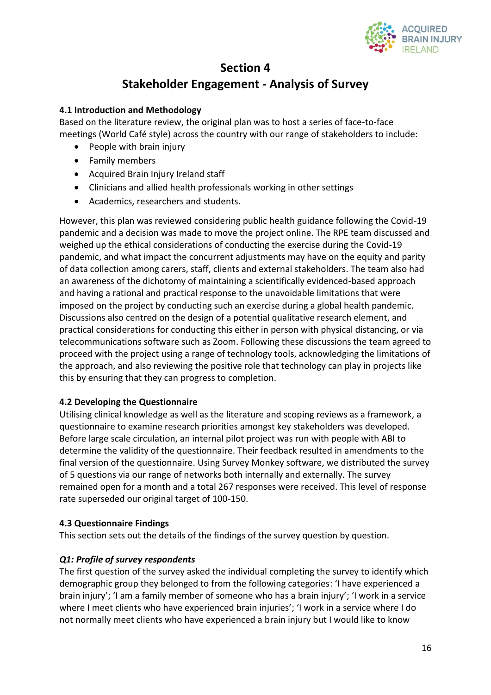

## **Section 4 Stakeholder Engagement - Analysis of Survey**

#### **4.1 Introduction and Methodology**

Based on the literature review, the original plan was to host a series of face-to-face meetings (World Café style) across the country with our range of stakeholders to include:

- People with brain injury
- Family members
- Acquired Brain Injury Ireland staff
- Clinicians and allied health professionals working in other settings
- Academics, researchers and students.

However, this plan was reviewed considering public health guidance following the Covid-19 pandemic and a decision was made to move the project online. The RPE team discussed and weighed up the ethical considerations of conducting the exercise during the Covid-19 pandemic, and what impact the concurrent adjustments may have on the equity and parity of data collection among carers, staff, clients and external stakeholders. The team also had an awareness of the dichotomy of maintaining a scientifically evidenced-based approach and having a rational and practical response to the unavoidable limitations that were imposed on the project by conducting such an exercise during a global health pandemic. Discussions also centred on the design of a potential qualitative research element, and practical considerations for conducting this either in person with physical distancing, or via telecommunications software such as Zoom. Following these discussions the team agreed to proceed with the project using a range of technology tools, acknowledging the limitations of the approach, and also reviewing the positive role that technology can play in projects like this by ensuring that they can progress to completion.

#### **4.2 Developing the Questionnaire**

Utilising clinical knowledge as well as the literature and scoping reviews as a framework, a questionnaire to examine research priorities amongst key stakeholders was developed. Before large scale circulation, an internal pilot project was run with people with ABI to determine the validity of the questionnaire. Their feedback resulted in amendments to the final version of the questionnaire. Using Survey Monkey software, we distributed the survey of 5 questions via our range of networks both internally and externally. The survey remained open for a month and a total 267 responses were received. This level of response rate superseded our original target of 100-150.

#### **4.3 Questionnaire Findings**

This section sets out the details of the findings of the survey question by question.

#### *Q1: Profile of survey respondents*

The first question of the survey asked the individual completing the survey to identify which demographic group they belonged to from the following categories: 'I have experienced a brain injury'; 'I am a family member of someone who has a brain injury'; 'I work in a service where I meet clients who have experienced brain injuries'; 'I work in a service where I do not normally meet clients who have experienced a brain injury but I would like to know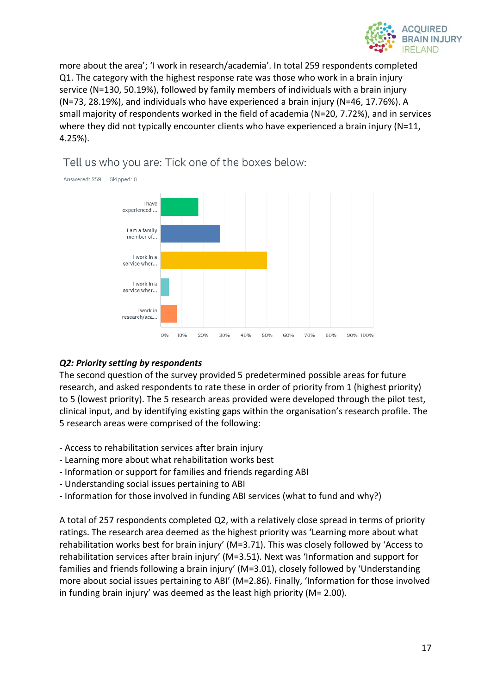

more about the area'; 'I work in research/academia'. In total 259 respondents completed Q1. The category with the highest response rate was those who work in a brain injury service (N=130, 50.19%), followed by family members of individuals with a brain injury (N=73, 28.19%), and individuals who have experienced a brain injury (N=46, 17.76%). A small majority of respondents worked in the field of academia (N=20, 7.72%), and in services where they did not typically encounter clients who have experienced a brain injury (N=11, 4.25%).



### Tell us who you are: Tick one of the boxes below:

#### *Q2: Priority setting by respondents*

The second question of the survey provided 5 predetermined possible areas for future research, and asked respondents to rate these in order of priority from 1 (highest priority) to 5 (lowest priority). The 5 research areas provided were developed through the pilot test, clinical input, and by identifying existing gaps within the organisation's research profile. The 5 research areas were comprised of the following:

- Access to rehabilitation services after brain injury
- Learning more about what rehabilitation works best
- Information or support for families and friends regarding ABI
- Understanding social issues pertaining to ABI
- Information for those involved in funding ABI services (what to fund and why?)

A total of 257 respondents completed Q2, with a relatively close spread in terms of priority ratings. The research area deemed as the highest priority was 'Learning more about what rehabilitation works best for brain injury' (M=3.71). This was closely followed by 'Access to rehabilitation services after brain injury' (M=3.51). Next was 'Information and support for families and friends following a brain injury' (M=3.01), closely followed by 'Understanding more about social issues pertaining to ABI' (M=2.86). Finally, 'Information for those involved in funding brain injury' was deemed as the least high priority (M= 2.00).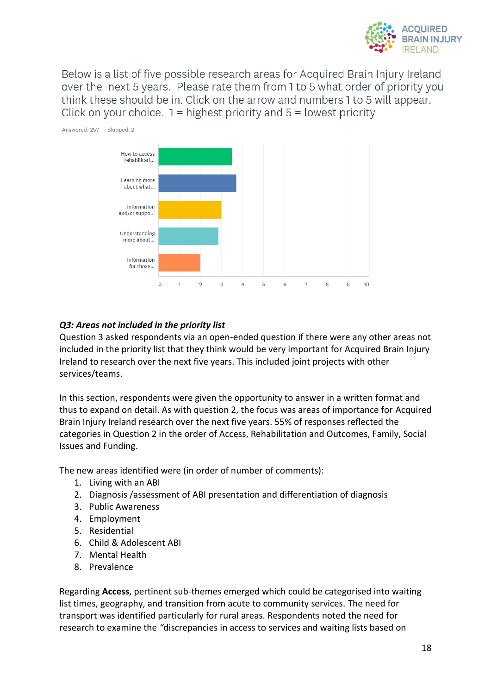

Below is a list of five possible research areas for Acquired Brain Injury Ireland over the next 5 years. Please rate them from 1 to 5 what order of priority you think these should be in. Click on the arrow and numbers 1 to 5 will appear. Click on your choice.  $1 =$  highest priority and  $5 =$  lowest priority



#### *Q3: Areas not included in the priority list*

Question 3 asked respondents via an open-ended question if there were any other areas not included in the priority list that they think would be very important for Acquired Brain Injury Ireland to research over the next five years. This included joint projects with other services/teams.

In this section, respondents were given the opportunity to answer in a written format and thus to expand on detail. As with question 2, the focus was areas of importance for Acquired Brain Injury Ireland research over the next five years. 55% of responses reflected the categories in Question 2 in the order of Access, Rehabilitation and Outcomes, Family, Social Issues and Funding.

The new areas identified were (in order of number of comments):

- 1. Living with an ABI
- 2. Diagnosis /assessment of ABI presentation and differentiation of diagnosis
- 3. Public Awareness
- 4. Employment
- 5. Residential
- 6. Child & Adolescent ABI
- 7. Mental Health
- 8. Prevalence

Regarding **Access**, pertinent sub-themes emerged which could be categorised into waiting list times, geography, and transition from acute to community services. The need for transport was identified particularly for rural areas. Respondents noted the need for research to examine the *"*discrepancies in access to services and waiting lists based on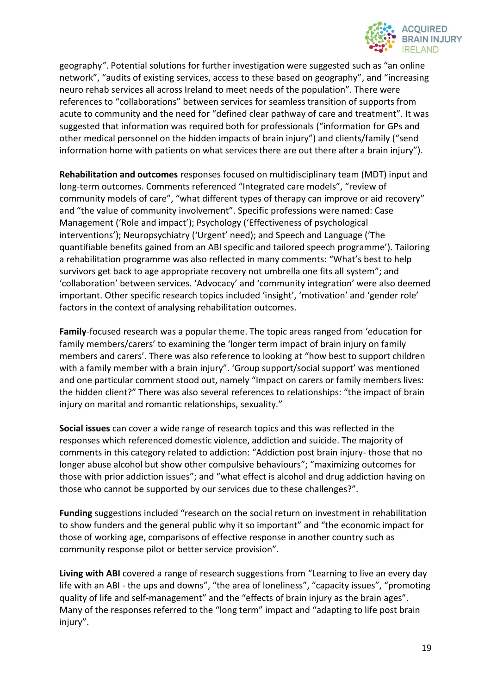

geography*"*. Potential solutions for further investigation were suggested such as "an online network", "audits of existing services, access to these based on geography", and "increasing neuro rehab services all across Ireland to meet needs of the population". There were references to "collaborations" between services for seamless transition of supports from acute to community and the need for "defined clear pathway of care and treatment". It was suggested that information was required both for professionals ("information for GPs and other medical personnel on the hidden impacts of brain injury") and clients/family ("send information home with patients on what services there are out there after a brain injury").

**Rehabilitation and outcomes** responses focused on multidisciplinary team (MDT) input and long-term outcomes. Comments referenced "Integrated care models", "review of community models of care", "what different types of therapy can improve or aid recovery" and "the value of community involvement". Specific professions were named: Case Management ('Role and impact'); Psychology ('Effectiveness of psychological interventions'); Neuropsychiatry ('Urgent' need); and Speech and Language ('The quantifiable benefits gained from an ABI specific and tailored speech programme'). Tailoring a rehabilitation programme was also reflected in many comments: "What's best to help survivors get back to age appropriate recovery not umbrella one fits all system"; and 'collaboration' between services. 'Advocacy' and 'community integration' were also deemed important. Other specific research topics included 'insight', 'motivation' and 'gender role' factors in the context of analysing rehabilitation outcomes.

**Family**-focused research was a popular theme. The topic areas ranged from 'education for family members/carers' to examining the 'longer term impact of brain injury on family members and carers'. There was also reference to looking at "how best to support children with a family member with a brain injury". 'Group support/social support' was mentioned and one particular comment stood out, namely "Impact on carers or family members lives: the hidden client?" There was also several references to relationships: "the impact of brain injury on marital and romantic relationships, sexuality."

**Social issues** can cover a wide range of research topics and this was reflected in the responses which referenced domestic violence, addiction and suicide. The majority of comments in this category related to addiction: "Addiction post brain injury- those that no longer abuse alcohol but show other compulsive behaviours"; "maximizing outcomes for those with prior addiction issues"; and "what effect is alcohol and drug addiction having on those who cannot be supported by our services due to these challenges?".

**Funding** suggestions included "research on the social return on investment in rehabilitation to show funders and the general public why it so important" and "the economic impact for those of working age, comparisons of effective response in another country such as community response pilot or better service provision".

**Living with ABI** covered a range of research suggestions from "Learning to live an every day life with an ABI - the ups and downs", "the area of loneliness", "capacity issues", "promoting quality of life and self-management" and the "effects of brain injury as the brain ages". Many of the responses referred to the "long term" impact and "adapting to life post brain injury".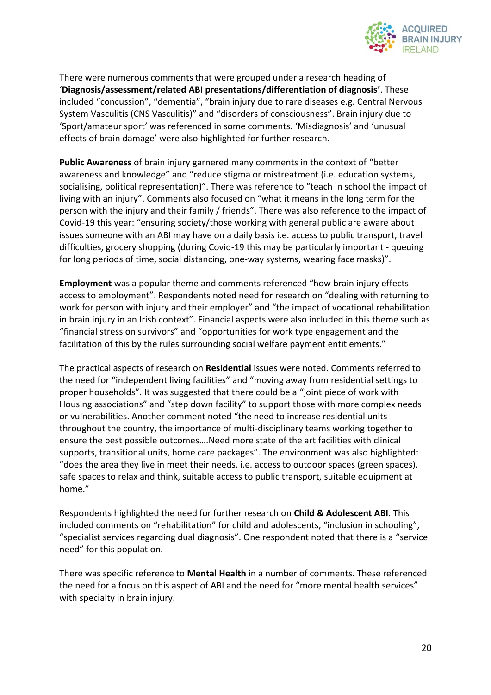

There were numerous comments that were grouped under a research heading of '**Diagnosis/assessment/related ABI presentations/differentiation of diagnosis'**. These included "concussion", "dementia", "brain injury due to rare diseases e.g. Central Nervous System Vasculitis (CNS Vasculitis)" and "disorders of consciousness". Brain injury due to 'Sport/amateur sport' was referenced in some comments. 'Misdiagnosis' and 'unusual effects of brain damage' were also highlighted for further research.

**Public Awareness** of brain injury garnered many comments in the context of "better awareness and knowledge" and "reduce stigma or mistreatment (i.e. education systems, socialising, political representation)". There was reference to "teach in school the impact of living with an injury". Comments also focused on "what it means in the long term for the person with the injury and their family / friends". There was also reference to the impact of Covid-19 this year: "ensuring society/those working with general public are aware about issues someone with an ABI may have on a daily basis i.e. access to public transport, travel difficulties, grocery shopping (during Covid-19 this may be particularly important - queuing for long periods of time, social distancing, one-way systems, wearing face masks)".

**Employment** was a popular theme and comments referenced "how brain injury effects access to employment". Respondents noted need for research on "dealing with returning to work for person with injury and their employer" and "the impact of vocational rehabilitation in brain injury in an Irish context". Financial aspects were also included in this theme such as "financial stress on survivors" and "opportunities for work type engagement and the facilitation of this by the rules surrounding social welfare payment entitlements."

The practical aspects of research on **Residential** issues were noted. Comments referred to the need for "independent living facilities" and "moving away from residential settings to proper households". It was suggested that there could be a "joint piece of work with Housing associations" and "step down facility" to support those with more complex needs or vulnerabilities. Another comment noted "the need to increase residential units throughout the country, the importance of multi-disciplinary teams working together to ensure the best possible outcomes….Need more state of the art facilities with clinical supports, transitional units, home care packages". The environment was also highlighted: "does the area they live in meet their needs, i.e. access to outdoor spaces (green spaces), safe spaces to relax and think, suitable access to public transport, suitable equipment at home."

Respondents highlighted the need for further research on **Child & Adolescent ABI**. This included comments on "rehabilitation" for child and adolescents, "inclusion in schooling", "specialist services regarding dual diagnosis". One respondent noted that there is a "service need" for this population.

There was specific reference to **Mental Health** in a number of comments. These referenced the need for a focus on this aspect of ABI and the need for "more mental health services" with specialty in brain injury.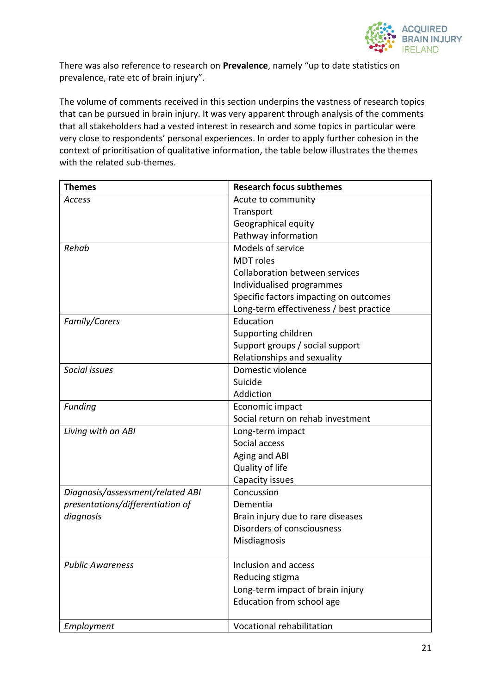

There was also reference to research on **Prevalence**, namely "up to date statistics on prevalence, rate etc of brain injury".

The volume of comments received in this section underpins the vastness of research topics that can be pursued in brain injury. It was very apparent through analysis of the comments that all stakeholders had a vested interest in research and some topics in particular were very close to respondents' personal experiences. In order to apply further cohesion in the context of prioritisation of qualitative information, the table below illustrates the themes with the related sub-themes.

| <b>Themes</b>                    | <b>Research focus subthemes</b>         |
|----------------------------------|-----------------------------------------|
| Access                           | Acute to community                      |
|                                  | Transport                               |
|                                  | Geographical equity                     |
|                                  | Pathway information                     |
| Rehab                            | Models of service                       |
|                                  | <b>MDT</b> roles                        |
|                                  | <b>Collaboration between services</b>   |
|                                  | Individualised programmes               |
|                                  | Specific factors impacting on outcomes  |
|                                  | Long-term effectiveness / best practice |
| Family/Carers                    | Education                               |
|                                  | Supporting children                     |
|                                  | Support groups / social support         |
|                                  | Relationships and sexuality             |
| Social issues                    | Domestic violence                       |
|                                  | Suicide                                 |
|                                  | Addiction                               |
| Funding                          | Economic impact                         |
|                                  | Social return on rehab investment       |
| Living with an ABI               | Long-term impact                        |
|                                  | Social access                           |
|                                  | Aging and ABI                           |
|                                  | Quality of life                         |
|                                  | Capacity issues                         |
| Diagnosis/assessment/related ABI | Concussion                              |
| presentations/differentiation of | Dementia                                |
| diagnosis                        | Brain injury due to rare diseases       |
|                                  | Disorders of consciousness              |
|                                  | Misdiagnosis                            |
|                                  |                                         |
| <b>Public Awareness</b>          | Inclusion and access                    |
|                                  | Reducing stigma                         |
|                                  | Long-term impact of brain injury        |
|                                  | Education from school age               |
| Employment                       | Vocational rehabilitation               |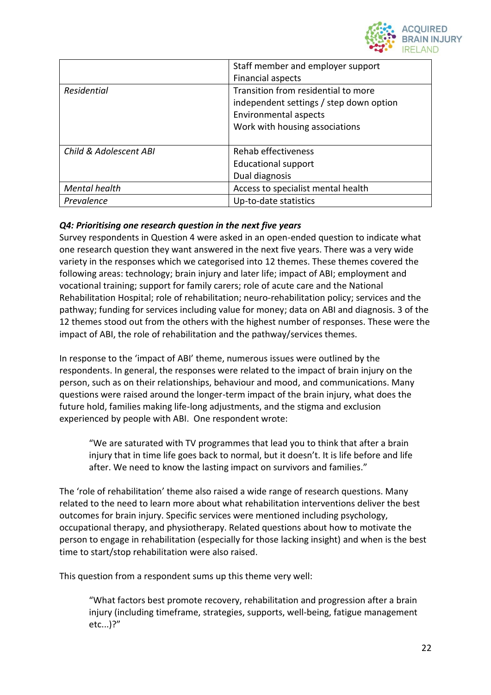

|                        | Staff member and employer support<br><b>Financial aspects</b>                                                                             |
|------------------------|-------------------------------------------------------------------------------------------------------------------------------------------|
| Residential            | Transition from residential to more<br>independent settings / step down option<br>Environmental aspects<br>Work with housing associations |
| Child & Adolescent ABI | Rehab effectiveness<br><b>Educational support</b><br>Dual diagnosis                                                                       |
| Mental health          | Access to specialist mental health                                                                                                        |
| Prevalence             | Up-to-date statistics                                                                                                                     |

#### *Q4: Prioritising one research question in the next five years*

Survey respondents in Question 4 were asked in an open-ended question to indicate what one research question they want answered in the next five years. There was a very wide variety in the responses which we categorised into 12 themes. These themes covered the following areas: technology; brain injury and later life; impact of ABI; employment and vocational training; support for family carers; role of acute care and the National Rehabilitation Hospital; role of rehabilitation; neuro-rehabilitation policy; services and the pathway; funding for services including value for money; data on ABI and diagnosis. 3 of the 12 themes stood out from the others with the highest number of responses. These were the impact of ABI, the role of rehabilitation and the pathway/services themes.

In response to the 'impact of ABI' theme, numerous issues were outlined by the respondents. In general, the responses were related to the impact of brain injury on the person, such as on their relationships, behaviour and mood, and communications. Many questions were raised around the longer-term impact of the brain injury, what does the future hold, families making life-long adjustments, and the stigma and exclusion experienced by people with ABI. One respondent wrote:

"We are saturated with TV programmes that lead you to think that after a brain injury that in time life goes back to normal, but it doesn't. It is life before and life after. We need to know the lasting impact on survivors and families."

The 'role of rehabilitation' theme also raised a wide range of research questions. Many related to the need to learn more about what rehabilitation interventions deliver the best outcomes for brain injury. Specific services were mentioned including psychology, occupational therapy, and physiotherapy. Related questions about how to motivate the person to engage in rehabilitation (especially for those lacking insight) and when is the best time to start/stop rehabilitation were also raised.

This question from a respondent sums up this theme very well:

"What factors best promote recovery, rehabilitation and progression after a brain injury (including timeframe, strategies, supports, well-being, fatigue management etc...)?"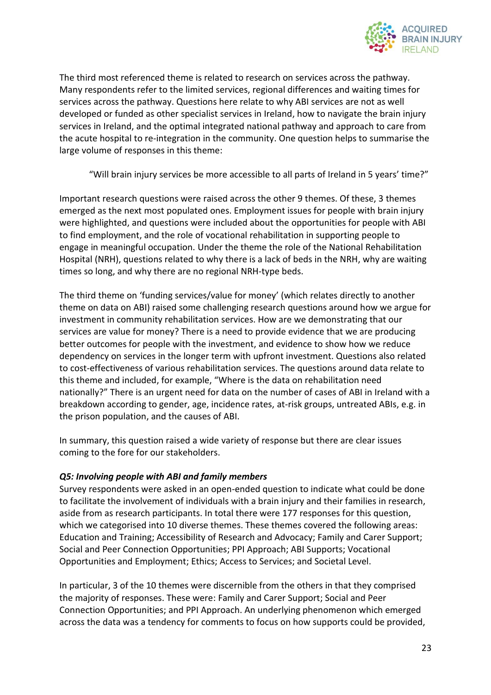

The third most referenced theme is related to research on services across the pathway. Many respondents refer to the limited services, regional differences and waiting times for services across the pathway. Questions here relate to why ABI services are not as well developed or funded as other specialist services in Ireland, how to navigate the brain injury services in Ireland, and the optimal integrated national pathway and approach to care from the acute hospital to re-integration in the community. One question helps to summarise the large volume of responses in this theme:

"Will brain injury services be more accessible to all parts of Ireland in 5 years' time?"

Important research questions were raised across the other 9 themes. Of these, 3 themes emerged as the next most populated ones. Employment issues for people with brain injury were highlighted, and questions were included about the opportunities for people with ABI to find employment, and the role of vocational rehabilitation in supporting people to engage in meaningful occupation. Under the theme the role of the National Rehabilitation Hospital (NRH), questions related to why there is a lack of beds in the NRH, why are waiting times so long, and why there are no regional NRH-type beds.

The third theme on 'funding services/value for money' (which relates directly to another theme on data on ABI) raised some challenging research questions around how we argue for investment in community rehabilitation services. How are we demonstrating that our services are value for money? There is a need to provide evidence that we are producing better outcomes for people with the investment, and evidence to show how we reduce dependency on services in the longer term with upfront investment. Questions also related to cost-effectiveness of various rehabilitation services. The questions around data relate to this theme and included, for example, "Where is the data on rehabilitation need nationally?" There is an urgent need for data on the number of cases of ABI in Ireland with a breakdown according to gender, age, incidence rates, at-risk groups, untreated ABIs, e.g. in the prison population, and the causes of ABI.

In summary, this question raised a wide variety of response but there are clear issues coming to the fore for our stakeholders.

#### *Q5: Involving people with ABI and family members*

Survey respondents were asked in an open-ended question to indicate what could be done to facilitate the involvement of individuals with a brain injury and their families in research, aside from as research participants. In total there were 177 responses for this question, which we categorised into 10 diverse themes. These themes covered the following areas: Education and Training; Accessibility of Research and Advocacy; Family and Carer Support; Social and Peer Connection Opportunities; PPI Approach; ABI Supports; Vocational Opportunities and Employment; Ethics; Access to Services; and Societal Level.

In particular, 3 of the 10 themes were discernible from the others in that they comprised the majority of responses. These were: Family and Carer Support; Social and Peer Connection Opportunities; and PPI Approach. An underlying phenomenon which emerged across the data was a tendency for comments to focus on how supports could be provided,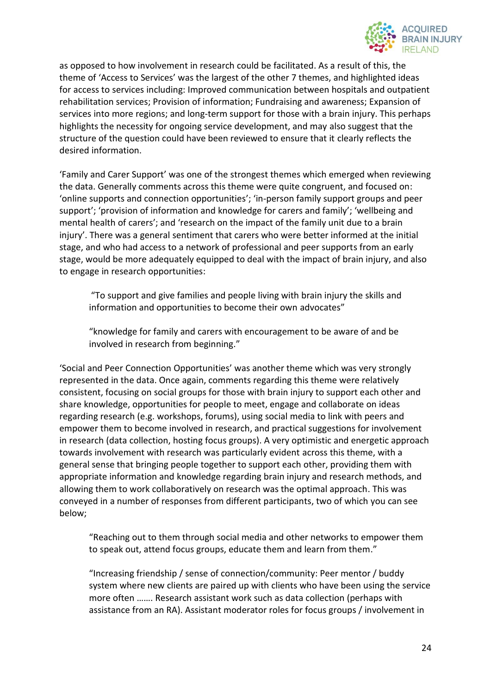

as opposed to how involvement in research could be facilitated. As a result of this, the theme of 'Access to Services' was the largest of the other 7 themes, and highlighted ideas for access to services including: Improved communication between hospitals and outpatient rehabilitation services; Provision of information; Fundraising and awareness; Expansion of services into more regions; and long-term support for those with a brain injury. This perhaps highlights the necessity for ongoing service development, and may also suggest that the structure of the question could have been reviewed to ensure that it clearly reflects the desired information.

'Family and Carer Support' was one of the strongest themes which emerged when reviewing the data. Generally comments across this theme were quite congruent, and focused on: 'online supports and connection opportunities'; 'in-person family support groups and peer support'; 'provision of information and knowledge for carers and family'; 'wellbeing and mental health of carers'; and 'research on the impact of the family unit due to a brain injury'. There was a general sentiment that carers who were better informed at the initial stage, and who had access to a network of professional and peer supports from an early stage, would be more adequately equipped to deal with the impact of brain injury, and also to engage in research opportunities:

"To support and give families and people living with brain injury the skills and information and opportunities to become their own advocates"

"knowledge for family and carers with encouragement to be aware of and be involved in research from beginning."

'Social and Peer Connection Opportunities' was another theme which was very strongly represented in the data. Once again, comments regarding this theme were relatively consistent, focusing on social groups for those with brain injury to support each other and share knowledge, opportunities for people to meet, engage and collaborate on ideas regarding research (e.g. workshops, forums), using social media to link with peers and empower them to become involved in research, and practical suggestions for involvement in research (data collection, hosting focus groups). A very optimistic and energetic approach towards involvement with research was particularly evident across this theme, with a general sense that bringing people together to support each other, providing them with appropriate information and knowledge regarding brain injury and research methods, and allowing them to work collaboratively on research was the optimal approach. This was conveyed in a number of responses from different participants, two of which you can see below;

"Reaching out to them through social media and other networks to empower them to speak out, attend focus groups, educate them and learn from them."

"Increasing friendship / sense of connection/community: Peer mentor / buddy system where new clients are paired up with clients who have been using the service more often ……. Research assistant work such as data collection (perhaps with assistance from an RA). Assistant moderator roles for focus groups / involvement in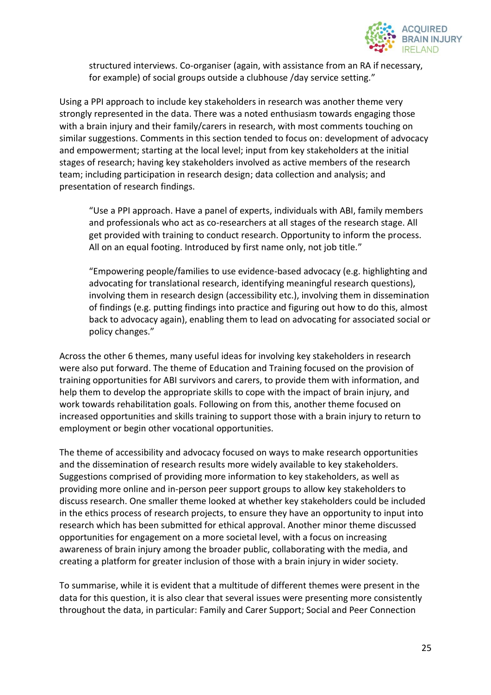

structured interviews. Co-organiser (again, with assistance from an RA if necessary, for example) of social groups outside a clubhouse /day service setting."

Using a PPI approach to include key stakeholders in research was another theme very strongly represented in the data. There was a noted enthusiasm towards engaging those with a brain injury and their family/carers in research, with most comments touching on similar suggestions. Comments in this section tended to focus on: development of advocacy and empowerment; starting at the local level; input from key stakeholders at the initial stages of research; having key stakeholders involved as active members of the research team; including participation in research design; data collection and analysis; and presentation of research findings.

"Use a PPI approach. Have a panel of experts, individuals with ABI, family members and professionals who act as co-researchers at all stages of the research stage. All get provided with training to conduct research. Opportunity to inform the process. All on an equal footing. Introduced by first name only, not job title."

"Empowering people/families to use evidence-based advocacy (e.g. highlighting and advocating for translational research, identifying meaningful research questions), involving them in research design (accessibility etc.), involving them in dissemination of findings (e.g. putting findings into practice and figuring out how to do this, almost back to advocacy again), enabling them to lead on advocating for associated social or policy changes."

Across the other 6 themes, many useful ideas for involving key stakeholders in research were also put forward. The theme of Education and Training focused on the provision of training opportunities for ABI survivors and carers, to provide them with information, and help them to develop the appropriate skills to cope with the impact of brain injury, and work towards rehabilitation goals. Following on from this, another theme focused on increased opportunities and skills training to support those with a brain injury to return to employment or begin other vocational opportunities.

The theme of accessibility and advocacy focused on ways to make research opportunities and the dissemination of research results more widely available to key stakeholders. Suggestions comprised of providing more information to key stakeholders, as well as providing more online and in-person peer support groups to allow key stakeholders to discuss research. One smaller theme looked at whether key stakeholders could be included in the ethics process of research projects, to ensure they have an opportunity to input into research which has been submitted for ethical approval. Another minor theme discussed opportunities for engagement on a more societal level, with a focus on increasing awareness of brain injury among the broader public, collaborating with the media, and creating a platform for greater inclusion of those with a brain injury in wider society.

To summarise, while it is evident that a multitude of different themes were present in the data for this question, it is also clear that several issues were presenting more consistently throughout the data, in particular: Family and Carer Support; Social and Peer Connection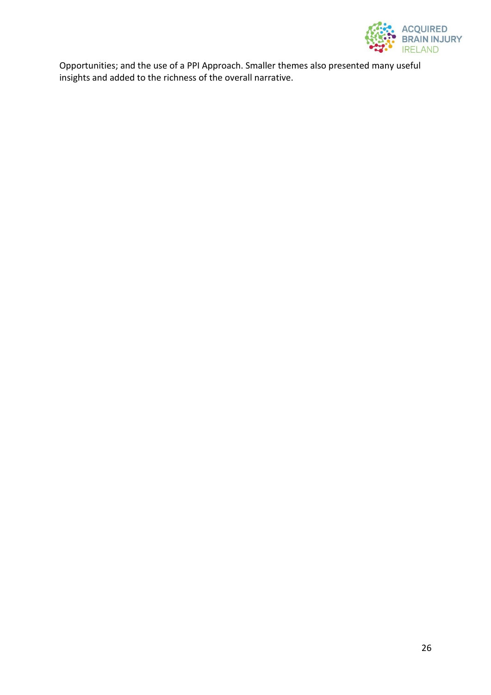

Opportunities; and the use of a PPI Approach. Smaller themes also presented many useful insights and added to the richness of the overall narrative.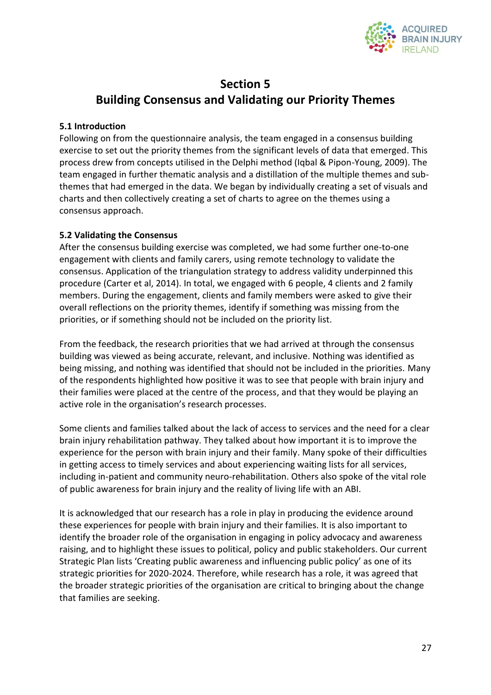

## **Section 5**

## **Building Consensus and Validating our Priority Themes**

#### **5.1 Introduction**

Following on from the questionnaire analysis, the team engaged in a consensus building exercise to set out the priority themes from the significant levels of data that emerged. This process drew from concepts utilised in the Delphi method (Iqbal & Pipon-Young, 2009). The team engaged in further thematic analysis and a distillation of the multiple themes and subthemes that had emerged in the data. We began by individually creating a set of visuals and charts and then collectively creating a set of charts to agree on the themes using a consensus approach.

#### **5.2 Validating the Consensus**

After the consensus building exercise was completed, we had some further one-to-one engagement with clients and family carers, using remote technology to validate the consensus. Application of the triangulation strategy to address validity underpinned this procedure (Carter et al, 2014). In total, we engaged with 6 people, 4 clients and 2 family members. During the engagement, clients and family members were asked to give their overall reflections on the priority themes, identify if something was missing from the priorities, or if something should not be included on the priority list.

From the feedback, the research priorities that we had arrived at through the consensus building was viewed as being accurate, relevant, and inclusive. Nothing was identified as being missing, and nothing was identified that should not be included in the priorities. Many of the respondents highlighted how positive it was to see that people with brain injury and their families were placed at the centre of the process, and that they would be playing an active role in the organisation's research processes.

Some clients and families talked about the lack of access to services and the need for a clear brain injury rehabilitation pathway. They talked about how important it is to improve the experience for the person with brain injury and their family. Many spoke of their difficulties in getting access to timely services and about experiencing waiting lists for all services, including in-patient and community neuro-rehabilitation. Others also spoke of the vital role of public awareness for brain injury and the reality of living life with an ABI.

It is acknowledged that our research has a role in play in producing the evidence around these experiences for people with brain injury and their families. It is also important to identify the broader role of the organisation in engaging in policy advocacy and awareness raising, and to highlight these issues to political, policy and public stakeholders. Our current Strategic Plan lists 'Creating public awareness and influencing public policy' as one of its strategic priorities for 2020-2024. Therefore, while research has a role, it was agreed that the broader strategic priorities of the organisation are critical to bringing about the change that families are seeking.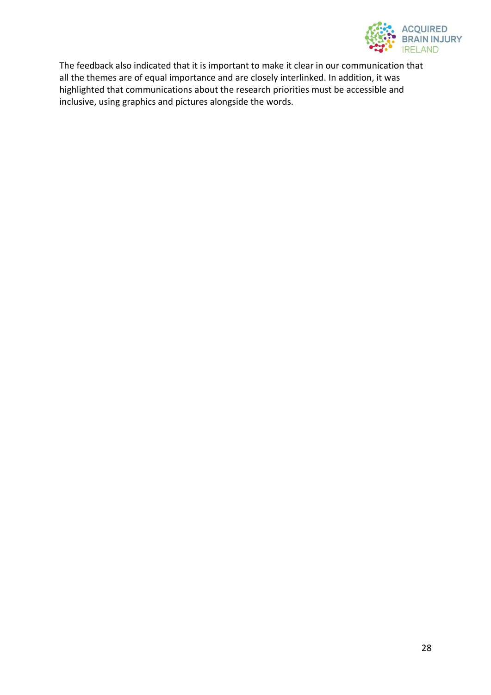

The feedback also indicated that it is important to make it clear in our communication that all the themes are of equal importance and are closely interlinked. In addition, it was highlighted that communications about the research priorities must be accessible and inclusive, using graphics and pictures alongside the words.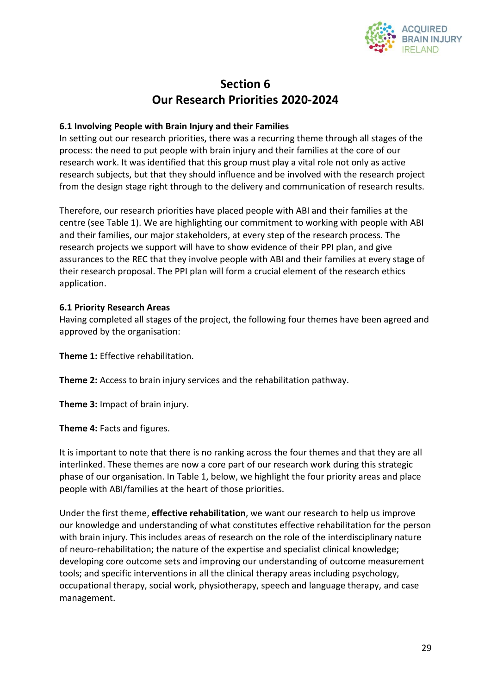

## **Section 6 Our Research Priorities 2020-2024**

#### **6.1 Involving People with Brain Injury and their Families**

In setting out our research priorities, there was a recurring theme through all stages of the process: the need to put people with brain injury and their families at the core of our research work. It was identified that this group must play a vital role not only as active research subjects, but that they should influence and be involved with the research project from the design stage right through to the delivery and communication of research results.

Therefore, our research priorities have placed people with ABI and their families at the centre (see Table 1). We are highlighting our commitment to working with people with ABI and their families, our major stakeholders, at every step of the research process. The research projects we support will have to show evidence of their PPI plan, and give assurances to the REC that they involve people with ABI and their families at every stage of their research proposal. The PPI plan will form a crucial element of the research ethics application.

#### **6.1 Priority Research Areas**

Having completed all stages of the project, the following four themes have been agreed and approved by the organisation:

**Theme 1:** Effective rehabilitation.

**Theme 2:** Access to brain injury services and the rehabilitation pathway.

**Theme 3:** Impact of brain injury.

**Theme 4:** Facts and figures.

It is important to note that there is no ranking across the four themes and that they are all interlinked. These themes are now a core part of our research work during this strategic phase of our organisation. In Table 1, below, we highlight the four priority areas and place people with ABI/families at the heart of those priorities.

Under the first theme, **effective rehabilitation**, we want our research to help us improve our knowledge and understanding of what constitutes effective rehabilitation for the person with brain injury. This includes areas of research on the role of the interdisciplinary nature of neuro-rehabilitation; the nature of the expertise and specialist clinical knowledge; developing core outcome sets and improving our understanding of outcome measurement tools; and specific interventions in all the clinical therapy areas including psychology, occupational therapy, social work, physiotherapy, speech and language therapy, and case management.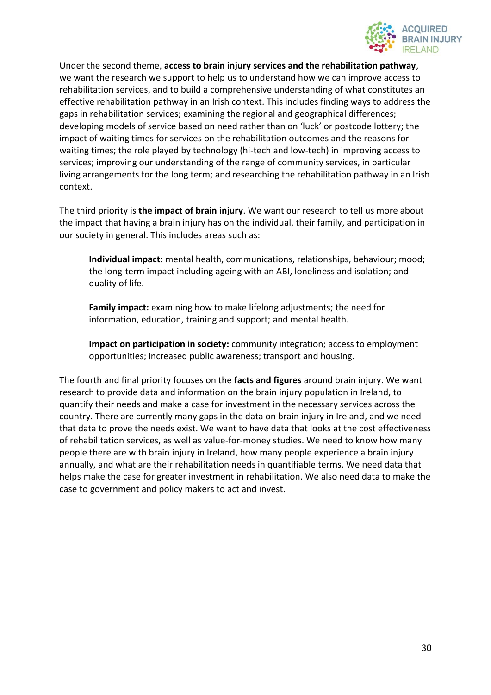

Under the second theme, **access to brain injury services and the rehabilitation pathway**, we want the research we support to help us to understand how we can improve access to rehabilitation services, and to build a comprehensive understanding of what constitutes an effective rehabilitation pathway in an Irish context. This includes finding ways to address the gaps in rehabilitation services; examining the regional and geographical differences; developing models of service based on need rather than on 'luck' or postcode lottery; the impact of waiting times for services on the rehabilitation outcomes and the reasons for waiting times; the role played by technology (hi-tech and low-tech) in improving access to services; improving our understanding of the range of community services, in particular living arrangements for the long term; and researching the rehabilitation pathway in an Irish context.

The third priority is **the impact of brain injury**. We want our research to tell us more about the impact that having a brain injury has on the individual, their family, and participation in our society in general. This includes areas such as:

**Individual impact:** mental health, communications, relationships, behaviour; mood; the long-term impact including ageing with an ABI, loneliness and isolation; and quality of life.

**Family impact:** examining how to make lifelong adjustments; the need for information, education, training and support; and mental health.

**Impact on participation in society:** community integration; access to employment opportunities; increased public awareness; transport and housing.

The fourth and final priority focuses on the **facts and figures** around brain injury. We want research to provide data and information on the brain injury population in Ireland, to quantify their needs and make a case for investment in the necessary services across the country. There are currently many gaps in the data on brain injury in Ireland, and we need that data to prove the needs exist. We want to have data that looks at the cost effectiveness of rehabilitation services, as well as value-for-money studies. We need to know how many people there are with brain injury in Ireland, how many people experience a brain injury annually, and what are their rehabilitation needs in quantifiable terms. We need data that helps make the case for greater investment in rehabilitation. We also need data to make the case to government and policy makers to act and invest.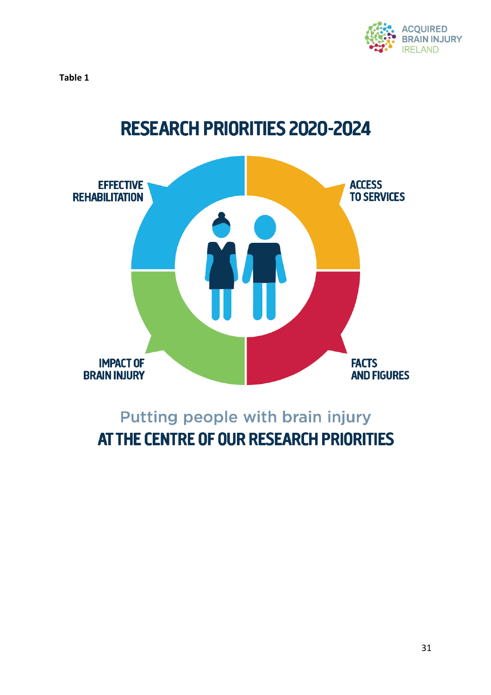

**Table 1**



# Putting people with brain injury AT THE CENTRE OF OUR RESEARCH PRIORITIES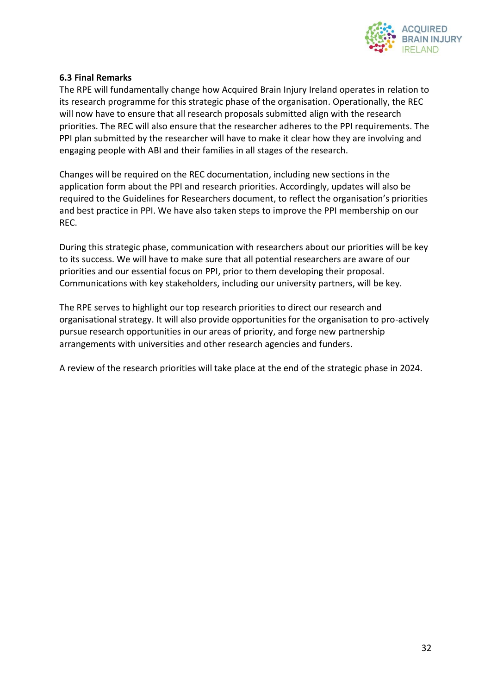

#### **6.3 Final Remarks**

The RPE will fundamentally change how Acquired Brain Injury Ireland operates in relation to its research programme for this strategic phase of the organisation. Operationally, the REC will now have to ensure that all research proposals submitted align with the research priorities. The REC will also ensure that the researcher adheres to the PPI requirements. The PPI plan submitted by the researcher will have to make it clear how they are involving and engaging people with ABI and their families in all stages of the research.

Changes will be required on the REC documentation, including new sections in the application form about the PPI and research priorities. Accordingly, updates will also be required to the Guidelines for Researchers document, to reflect the organisation's priorities and best practice in PPI. We have also taken steps to improve the PPI membership on our REC.

During this strategic phase, communication with researchers about our priorities will be key to its success. We will have to make sure that all potential researchers are aware of our priorities and our essential focus on PPI, prior to them developing their proposal. Communications with key stakeholders, including our university partners, will be key.

The RPE serves to highlight our top research priorities to direct our research and organisational strategy. It will also provide opportunities for the organisation to pro-actively pursue research opportunities in our areas of priority, and forge new partnership arrangements with universities and other research agencies and funders.

A review of the research priorities will take place at the end of the strategic phase in 2024.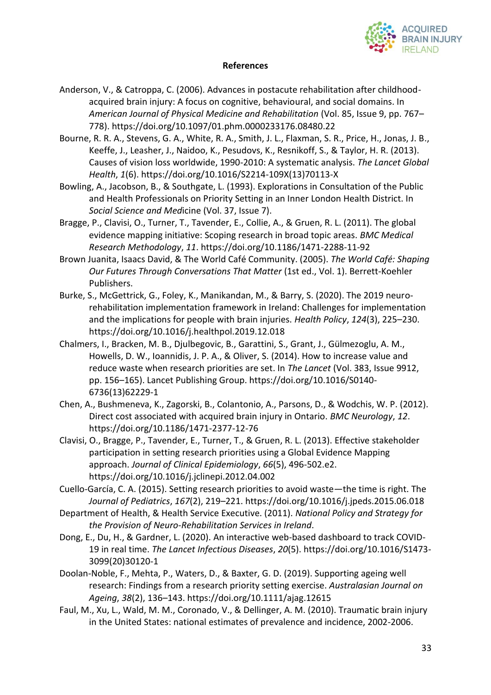

#### **References**

- Anderson, V., & Catroppa, C. (2006). Advances in postacute rehabilitation after childhoodacquired brain injury: A focus on cognitive, behavioural, and social domains. In *American Journal of Physical Medicine and Rehabilitation* (Vol. 85, Issue 9, pp. 767– 778). https://doi.org/10.1097/01.phm.0000233176.08480.22
- Bourne, R. R. A., Stevens, G. A., White, R. A., Smith, J. L., Flaxman, S. R., Price, H., Jonas, J. B., Keeffe, J., Leasher, J., Naidoo, K., Pesudovs, K., Resnikoff, S., & Taylor, H. R. (2013). Causes of vision loss worldwide, 1990-2010: A systematic analysis. *The Lancet Global Health*, *1*(6). https://doi.org/10.1016/S2214-109X(13)70113-X
- Bowling, A., Jacobson, B., & Southgate, L. (1993). Explorations in Consultation of the Public and Health Professionals on Priority Setting in an Inner London Health District. In *Social Science and Med*icine (Vol. 37, Issue 7).
- Bragge, P., Clavisi, O., Turner, T., Tavender, E., Collie, A., & Gruen, R. L. (2011). The global evidence mapping initiative: Scoping research in broad topic areas. *BMC Medical Research Methodology*, *11*. https://doi.org/10.1186/1471-2288-11-92
- Brown Juanita, Isaacs David, & The World Café Community. (2005). *The World Café: Shaping Our Futures Through Conversations That Matter* (1st ed., Vol. 1). Berrett-Koehler Publishers.
- Burke, S., McGettrick, G., Foley, K., Manikandan, M., & Barry, S. (2020). The 2019 neurorehabilitation implementation framework in Ireland: Challenges for implementation and the implications for people with brain injuries. *Health Policy*, *124*(3), 225–230. https://doi.org/10.1016/j.healthpol.2019.12.018
- Chalmers, I., Bracken, M. B., Djulbegovic, B., Garattini, S., Grant, J., Gülmezoglu, A. M., Howells, D. W., Ioannidis, J. P. A., & Oliver, S. (2014). How to increase value and reduce waste when research priorities are set. In *The Lancet* (Vol. 383, Issue 9912, pp. 156–165). Lancet Publishing Group. https://doi.org/10.1016/S0140- 6736(13)62229-1
- Chen, A., Bushmeneva, K., Zagorski, B., Colantonio, A., Parsons, D., & Wodchis, W. P. (2012). Direct cost associated with acquired brain injury in Ontario. *BMC Neurology*, *12*. https://doi.org/10.1186/1471-2377-12-76
- Clavisi, O., Bragge, P., Tavender, E., Turner, T., & Gruen, R. L. (2013). Effective stakeholder participation in setting research priorities using a Global Evidence Mapping approach. *Journal of Clinical Epidemiology*, *66*(5), 496-502.e2. https://doi.org/10.1016/j.jclinepi.2012.04.002
- Cuello-García, C. A. (2015). Setting research priorities to avoid waste—the time is right. The *Journal of Pediatrics*, *167*(2), 219–221. https://doi.org/10.1016/j.jpeds.2015.06.018
- Department of Health, & Health Service Executive. (2011). *National Policy and Strategy for the Provision of Neuro-Rehabilitation Services in Ireland*.
- Dong, E., Du, H., & Gardner, L. (2020). An interactive web-based dashboard to track COVID-19 in real time. *The Lancet Infectious Diseases*, *20*(5). https://doi.org/10.1016/S1473- 3099(20)30120-1
- Doolan-Noble, F., Mehta, P., Waters, D., & Baxter, G. D. (2019). Supporting ageing well research: Findings from a research priority setting exercise. *Australasian Journal on Ageing*, *38*(2), 136–143. https://doi.org/10.1111/ajag.12615
- Faul, M., Xu, L., Wald, M. M., Coronado, V., & Dellinger, A. M. (2010). Traumatic brain injury in the United States: national estimates of prevalence and incidence, 2002-2006.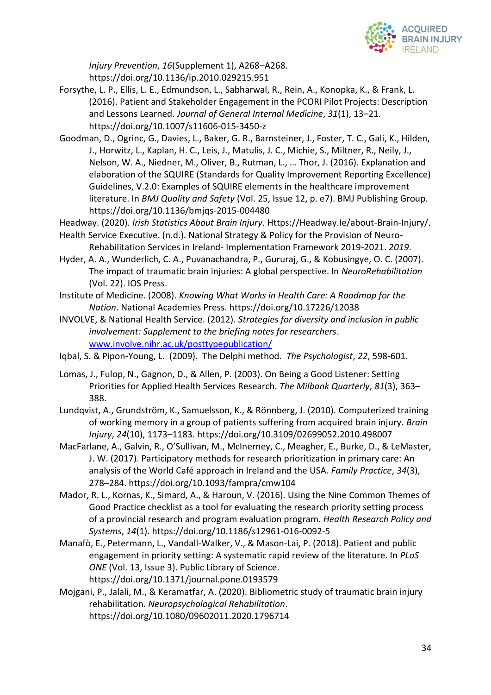

*Injury Prevention*, *16*(Supplement 1), A268–A268. https://doi.org/10.1136/ip.2010.029215.951

- Forsythe, L. P., Ellis, L. E., Edmundson, L., Sabharwal, R., Rein, A., Konopka, K., & Frank, L. (2016). Patient and Stakeholder Engagement in the PCORI Pilot Projects: Description and Lessons Learned. *Journal of General Internal Medicine*, *31*(1), 13–21. https://doi.org/10.1007/s11606-015-3450-z
- Goodman, D., Ogrinc, G., Davies, L., Baker, G. R., Barnsteiner, J., Foster, T. C., Gali, K., Hilden, J., Horwitz, L., Kaplan, H. C., Leis, J., Matulis, J. C., Michie, S., Miltner, R., Neily, J., Nelson, W. A., Niedner, M., Oliver, B., Rutman, L., … Thor, J. (2016). Explanation and elaboration of the SQUIRE (Standards for Quality Improvement Reporting Excellence) Guidelines, V.2.0: Examples of SQUIRE elements in the healthcare improvement literature. In *BMJ Quality and Safety* (Vol. 25, Issue 12, p. e7). BMJ Publishing Group. https://doi.org/10.1136/bmjqs-2015-004480
- Headway. (2020). *Irish Statistics About Brain Injury*. Https://Headway.Ie/about-Brain-Injury/.
- Health Service Executive. (n.d.). National Strategy & Policy for the Provision of Neuro-Rehabilitation Services in Ireland- Implementation Framework 2019-2021. *2019*.
- Hyder, A. A., Wunderlich, C. A., Puvanachandra, P., Gururaj, G., & Kobusingye, O. C. (2007). The impact of traumatic brain injuries: A global perspective. In *NeuroRehabilitation* (Vol. 22). IOS Press.
- Institute of Medicine. (2008). *Knowing What Works in Health Care: A Roadmap for the Nation*. National Academies Press. https://doi.org/10.17226/12038
- INVOLVE, & National Health Service. (2012). *Strategies for diversity and inclusion in public involvement: Supplement to the briefing notes for researchers*. [www.involve.nihr.ac.uk/posttypepublication/](http://www.involve.nihr.ac.uk/posttypepublication/)
- Iqbal, S. & Pipon-Young, L. (2009). The Delphi method. *The Psychologist*, *22*, 598-601.
- Lomas, J., Fulop, N., Gagnon, D., & Allen, P. (2003). On Being a Good Listener: Setting Priorities for Applied Health Services Research. *The Milbank Quarterly*, *81*(3), 363– 388.
- Lundqvist, A., Grundström, K., Samuelsson, K., & Rönnberg, J. (2010). Computerized training of working memory in a group of patients suffering from acquired brain injury. *Brain Injury*, *24*(10), 1173–1183. https://doi.org/10.3109/02699052.2010.498007
- MacFarlane, A., Galvin, R., O'Sullivan, M., McInerney, C., Meagher, E., Burke, D., & LeMaster, J. W. (2017). Participatory methods for research prioritization in primary care: An analysis of the World Café approach in Ireland and the USA. *Family Practice*, *34*(3), 278–284. https://doi.org/10.1093/fampra/cmw104
- Mador, R. L., Kornas, K., Simard, A., & Haroun, V. (2016). Using the Nine Common Themes of Good Practice checklist as a tool for evaluating the research priority setting process of a provincial research and program evaluation program. *Health Research Policy and Systems*, *14*(1). https://doi.org/10.1186/s12961-016-0092-5
- Manafò, E., Petermann, L., Vandall-Walker, V., & Mason-Lai, P. (2018). Patient and public engagement in priority setting: A systematic rapid review of the literature. In *PLoS ONE* (Vol. 13, Issue 3). Public Library of Science. https://doi.org/10.1371/journal.pone.0193579
- Mojgani, P., Jalali, M., & Keramatfar, A. (2020). Bibliometric study of traumatic brain injury rehabilitation. *Neuropsychological Rehabilitation*. https://doi.org/10.1080/09602011.2020.1796714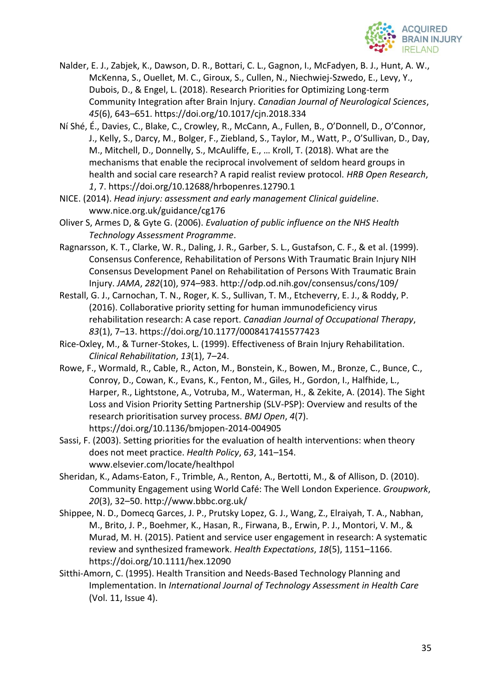

- Nalder, E. J., Zabjek, K., Dawson, D. R., Bottari, C. L., Gagnon, I., McFadyen, B. J., Hunt, A. W., McKenna, S., Ouellet, M. C., Giroux, S., Cullen, N., Niechwiej-Szwedo, E., Levy, Y., Dubois, D., & Engel, L. (2018). Research Priorities for Optimizing Long-term Community Integration after Brain Injury. *Canadian Journal of Neurological Sciences*, *45*(6), 643–651. https://doi.org/10.1017/cjn.2018.334
- Ní Shé, É., Davies, C., Blake, C., Crowley, R., McCann, A., Fullen, B., O'Donnell, D., O'Connor, J., Kelly, S., Darcy, M., Bolger, F., Ziebland, S., Taylor, M., Watt, P., O'Sullivan, D., Day, M., Mitchell, D., Donnelly, S., McAuliffe, E., … Kroll, T. (2018). What are the mechanisms that enable the reciprocal involvement of seldom heard groups in health and social care research? A rapid realist review protocol. *HRB Open Research*, *1*, 7. https://doi.org/10.12688/hrbopenres.12790.1
- NICE. (2014). *Head injury: assessment and early management Clinical guideline*. www.nice.org.uk/guidance/cg176
- Oliver S, Armes D, & Gyte G. (2006). *Evaluation of public influence on the NHS Health Technology Assessment Programme*.
- Ragnarsson, K. T., Clarke, W. R., Daling, J. R., Garber, S. L., Gustafson, C. F., & et al. (1999). Consensus Conference, Rehabilitation of Persons With Traumatic Brain Injury NIH Consensus Development Panel on Rehabilitation of Persons With Traumatic Brain Injury. *JAMA*, *282*(10), 974–983. http://odp.od.nih.gov/consensus/cons/109/
- Restall, G. J., Carnochan, T. N., Roger, K. S., Sullivan, T. M., Etcheverry, E. J., & Roddy, P. (2016). Collaborative priority setting for human immunodeficiency virus rehabilitation research: A case report. *Canadian Journal of Occupational Therapy*, *83*(1), 7–13. https://doi.org/10.1177/0008417415577423
- Rice-Oxley, M., & Turner-Stokes, L. (1999). Effectiveness of Brain Injury Rehabilitation. *Clinical Rehabilitation*, *13*(1), 7–24.
- Rowe, F., Wormald, R., Cable, R., Acton, M., Bonstein, K., Bowen, M., Bronze, C., Bunce, C., Conroy, D., Cowan, K., Evans, K., Fenton, M., Giles, H., Gordon, I., Halfhide, L., Harper, R., Lightstone, A., Votruba, M., Waterman, H., & Zekite, A. (2014). The Sight Loss and Vision Priority Setting Partnership (SLV-PSP): Overview and results of the research prioritisation survey process. *BMJ Open*, *4*(7). https://doi.org/10.1136/bmjopen-2014-004905
- Sassi, F. (2003). Setting priorities for the evaluation of health interventions: when theory does not meet practice. *Health Policy*, *63*, 141–154. www.elsevier.com/locate/healthpol
- Sheridan, K., Adams-Eaton, F., Trimble, A., Renton, A., Bertotti, M., & of Allison, D. (2010). Community Engagement using World Café: The Well London Experience. *Groupwork*, *20*(3), 32–50. http://www.bbbc.org.uk/
- Shippee, N. D., Domecq Garces, J. P., Prutsky Lopez, G. J., Wang, Z., Elraiyah, T. A., Nabhan, M., Brito, J. P., Boehmer, K., Hasan, R., Firwana, B., Erwin, P. J., Montori, V. M., & Murad, M. H. (2015). Patient and service user engagement in research: A systematic review and synthesized framework. *Health Expectations*, *18*(5), 1151–1166. https://doi.org/10.1111/hex.12090
- Sitthi-Amorn, C. (1995). Health Transition and Needs-Based Technology Planning and Implementation. In *International Journal of Technology Assessment in Health Care* (Vol. 11, Issue 4).